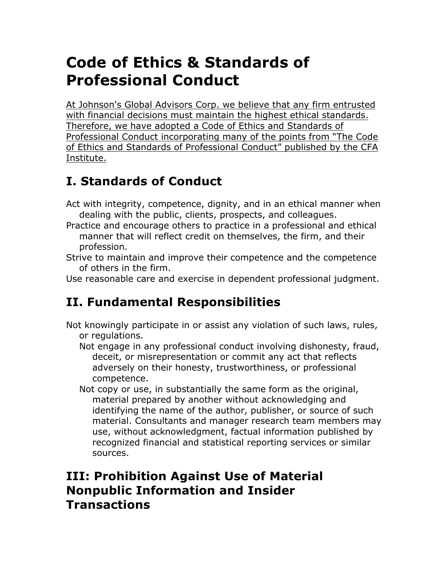# **Code of Ethics & Standards of Professional Conduct**

At Johnson's Global Advisors Corp. we believe that any firm entrusted with financial decisions must maintain the highest ethical standards. Therefore, we have adopted a Code of Ethics and Standards of Professional Conduct incorporating many of the points from "The Code of Ethics and Standards of Professional Conduct" published by the CFA Institute.

# **I. Standards of Conduct**

- Act with integrity, competence, dignity, and in an ethical manner when dealing with the public, clients, prospects, and colleagues.
- Practice and encourage others to practice in a professional and ethical manner that will reflect credit on themselves, the firm, and their profession.
- Strive to maintain and improve their competence and the competence of others in the firm.
- Use reasonable care and exercise in dependent professional judgment.

# **II. Fundamental Responsibilities**

- Not knowingly participate in or assist any violation of such laws, rules, or regulations.
	- Not engage in any professional conduct involving dishonesty, fraud, deceit, or misrepresentation or commit any act that reflects adversely on their honesty, trustworthiness, or professional competence.
	- Not copy or use, in substantially the same form as the original, material prepared by another without acknowledging and identifying the name of the author, publisher, or source of such material. Consultants and manager research team members may use, without acknowledgment, factual information published by recognized financial and statistical reporting services or similar sources.

### **III: Prohibition Against Use of Material Nonpublic Information and Insider Transactions**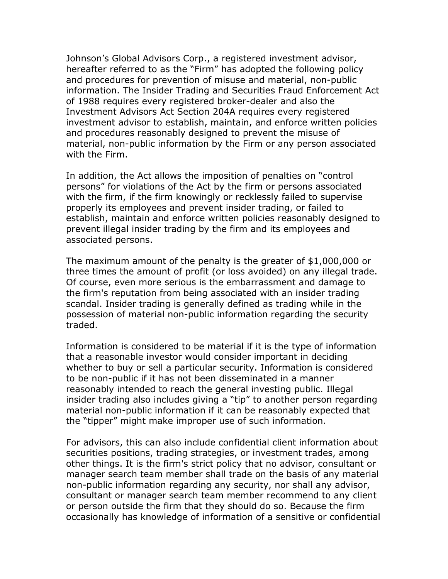Johnson's Global Advisors Corp., a registered investment advisor, hereafter referred to as the "Firm" has adopted the following policy and procedures for prevention of misuse and material, non-public information. The Insider Trading and Securities Fraud Enforcement Act of 1988 requires every registered broker-dealer and also the Investment Advisors Act Section 204A requires every registered investment advisor to establish, maintain, and enforce written policies and procedures reasonably designed to prevent the misuse of material, non-public information by the Firm or any person associated with the Firm.

In addition, the Act allows the imposition of penalties on "control persons" for violations of the Act by the firm or persons associated with the firm, if the firm knowingly or recklessly failed to supervise properly its employees and prevent insider trading, or failed to establish, maintain and enforce written policies reasonably designed to prevent illegal insider trading by the firm and its employees and associated persons.

The maximum amount of the penalty is the greater of \$1,000,000 or three times the amount of profit (or loss avoided) on any illegal trade. Of course, even more serious is the embarrassment and damage to the firm's reputation from being associated with an insider trading scandal. Insider trading is generally defined as trading while in the possession of material non-public information regarding the security traded.

Information is considered to be material if it is the type of information that a reasonable investor would consider important in deciding whether to buy or sell a particular security. Information is considered to be non-public if it has not been disseminated in a manner reasonably intended to reach the general investing public. Illegal insider trading also includes giving a "tip" to another person regarding material non-public information if it can be reasonably expected that the "tipper" might make improper use of such information.

For advisors, this can also include confidential client information about securities positions, trading strategies, or investment trades, among other things. It is the firm's strict policy that no advisor, consultant or manager search team member shall trade on the basis of any material non-public information regarding any security, nor shall any advisor, consultant or manager search team member recommend to any client or person outside the firm that they should do so. Because the firm occasionally has knowledge of information of a sensitive or confidential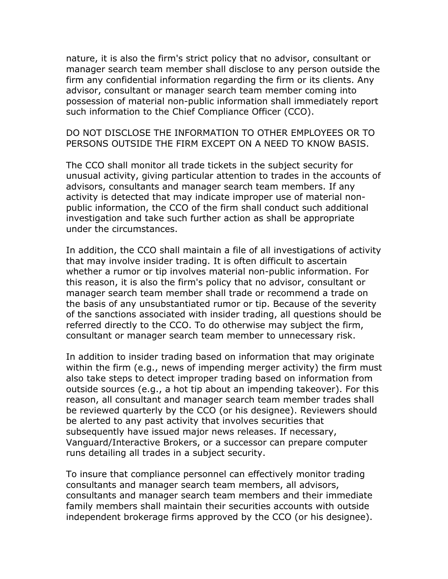nature, it is also the firm's strict policy that no advisor, consultant or manager search team member shall disclose to any person outside the firm any confidential information regarding the firm or its clients. Any advisor, consultant or manager search team member coming into possession of material non-public information shall immediately report such information to the Chief Compliance Officer (CCO).

#### DO NOT DISCLOSE THE INFORMATION TO OTHER EMPLOYEES OR TO PERSONS OUTSIDE THE FIRM EXCEPT ON A NEED TO KNOW BASIS.

The CCO shall monitor all trade tickets in the subject security for unusual activity, giving particular attention to trades in the accounts of advisors, consultants and manager search team members. If any activity is detected that may indicate improper use of material nonpublic information, the CCO of the firm shall conduct such additional investigation and take such further action as shall be appropriate under the circumstances.

In addition, the CCO shall maintain a file of all investigations of activity that may involve insider trading. It is often difficult to ascertain whether a rumor or tip involves material non-public information. For this reason, it is also the firm's policy that no advisor, consultant or manager search team member shall trade or recommend a trade on the basis of any unsubstantiated rumor or tip. Because of the severity of the sanctions associated with insider trading, all questions should be referred directly to the CCO. To do otherwise may subject the firm, consultant or manager search team member to unnecessary risk.

In addition to insider trading based on information that may originate within the firm (e.g., news of impending merger activity) the firm must also take steps to detect improper trading based on information from outside sources (e.g., a hot tip about an impending takeover). For this reason, all consultant and manager search team member trades shall be reviewed quarterly by the CCO (or his designee). Reviewers should be alerted to any past activity that involves securities that subsequently have issued major news releases. If necessary, Vanguard/Interactive Brokers, or a successor can prepare computer runs detailing all trades in a subject security.

To insure that compliance personnel can effectively monitor trading consultants and manager search team members, all advisors, consultants and manager search team members and their immediate family members shall maintain their securities accounts with outside independent brokerage firms approved by the CCO (or his designee).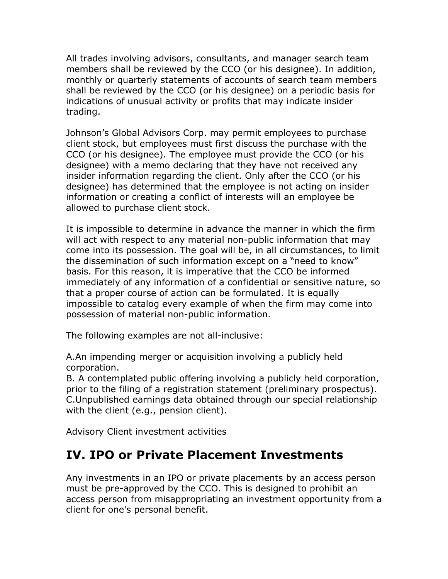All trades involving advisors, consultants, and manager search team members shall be reviewed by the CCO (or his designee). In addition, monthly or quarterly statements of accounts of search team members shall be reviewed by the CCO (or his designee) on a periodic basis for indications of unusual activity or profits that may indicate insider trading.

Johnson's Global Advisors Corp. may permit employees to purchase client stock, but employees must first discuss the purchase with the CCO (or his designee). The employee must provide the CCO (or his designee) with a memo declaring that they have not received any insider information regarding the client. Only after the CCO (or his designee) has determined that the employee is not acting on insider information or creating a conflict of interests will an employee be allowed to purchase client stock.

It is impossible to determine in advance the manner in which the firm will act with respect to any material non-public information that may come into its possession. The goal will be, in all circumstances, to limit the dissemination of such information except on a "need to know" basis. For this reason, it is imperative that the CCO be informed immediately of any information of a confidential or sensitive nature, so that a proper course of action can be formulated. It is equally impossible to catalog every example of when the firm may come into possession of material non-public information.

The following examples are not all-inclusive:

A.An impending merger or acquisition involving a publicly held corporation.

B. A contemplated public offering involving a publicly held corporation, prior to the filing of a registration statement (preliminary prospectus). C.Unpublished earnings data obtained through our special relationship with the client (e.g., pension client).

Advisory Client investment activities

### **IV. IPO or Private Placement Investments**

Any investments in an IPO or private placements by an access person must be pre-approved by the CCO. This is designed to prohibit an access person from misappropriating an investment opportunity from a client for one's personal benefit.